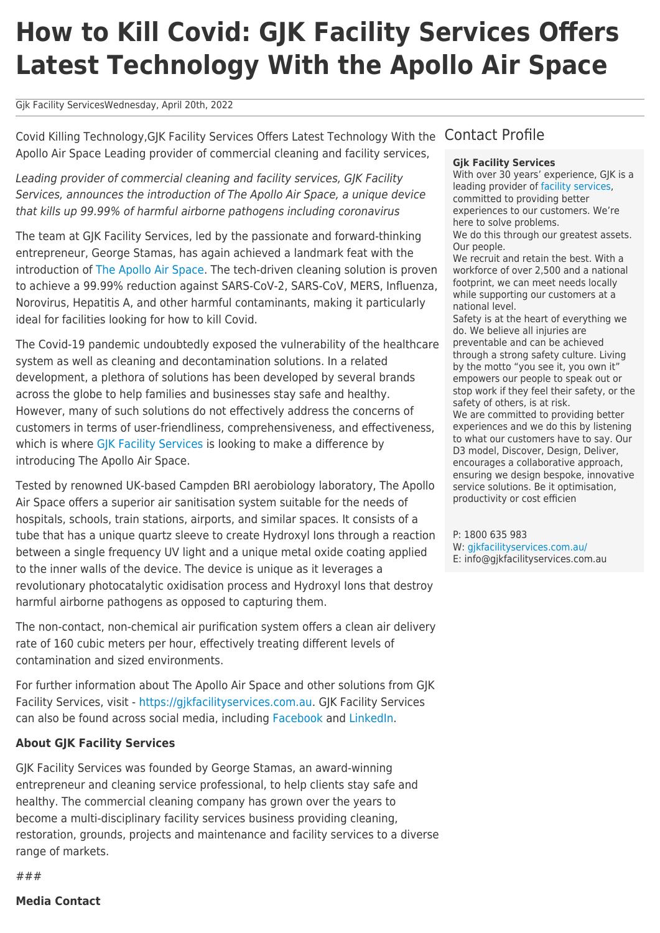# **How to Kill Covid: GJK Facility Services Offers Latest Technology With the Apollo Air Space**

### Gjk Facility ServicesWednesday, April 20th, 2022

Covid Killing Technology,GJK Facility Services Offers Latest Technology With the Apollo Air Space Leading provider of commercial cleaning and facility services,

Leading provider of commercial cleaning and facility services, GJK Facility Services, announces the introduction of The Apollo Air Space, a unique device that kills up 99.99% of harmful airborne pathogens including coronavirus

The team at GJK Facility Services, led by the passionate and forward-thinking entrepreneur, George Stamas, has again achieved a landmark feat with the introduction of [The Apollo Air Space](https://gjkfacilityservices.com.au/apollo-air-space/). The tech-driven cleaning solution is proven to achieve a 99.99% reduction against SARS-CoV-2, SARS-CoV, MERS, Influenza, Norovirus, Hepatitis A, and other harmful contaminants, making it particularly ideal for facilities looking for how to kill Covid.

The Covid-19 pandemic undoubtedly exposed the vulnerability of the healthcare system as well as cleaning and decontamination solutions. In a related development, a plethora of solutions has been developed by several brands across the globe to help families and businesses stay safe and healthy. However, many of such solutions do not effectively address the concerns of customers in terms of user-friendliness, comprehensiveness, and effectiveness, which is where [GJK Facility Services](https://gjkfacilityservices.com.au/) is looking to make a difference by introducing The Apollo Air Space.

Tested by renowned UK-based Campden BRI aerobiology laboratory, The Apollo Air Space offers a superior air sanitisation system suitable for the needs of hospitals, schools, train stations, airports, and similar spaces. It consists of a tube that has a unique quartz sleeve to create Hydroxyl Ions through a reaction between a single frequency UV light and a unique metal oxide coating applied to the inner walls of the device. The device is unique as it leverages a revolutionary photocatalytic oxidisation process and Hydroxyl Ions that destroy harmful airborne pathogens as opposed to capturing them.

The non-contact, non-chemical air purification system offers a clean air delivery rate of 160 cubic meters per hour, effectively treating different levels of contamination and sized environments.

For further information about The Apollo Air Space and other solutions from GJK Facility Services, visit - [https://gjkfacilityservices.com.au.](https://gjkfacilityservices.com.au) GJK Facility Services can also be found across social media, including [Facebook](https://www.facebook.com/GJKFacilityServices/) and [LinkedIn.](https://www.linkedin.com/company/gjk-facility-services/)

## **About GJK Facility Services**

GJK Facility Services was founded by George Stamas, an award-winning entrepreneur and cleaning service professional, to help clients stay safe and healthy. The commercial cleaning company has grown over the years to become a multi-disciplinary facility services business providing cleaning, restoration, grounds, projects and maintenance and facility services to a diverse range of markets.

# Contact Profile

#### **Gjk Facility Services**

With over 30 years' experience, GJK is a leading provider of [facility services](https://gjkfacilityservices.com.au/), committed to providing better experiences to our customers. We're here to solve problems. We do this through our greatest assets.

Our people. We recruit and retain the best. With a workforce of over 2,500 and a national footprint, we can meet needs locally while supporting our customers at a national level.

Safety is at the heart of everything we do. We believe all injuries are preventable and can be achieved through a strong safety culture. Living by the motto "you see it, you own it" empowers our people to speak out or stop work if they feel their safety, or the safety of others, is at risk. We are committed to providing better experiences and we do this by listening to what our customers have to say. Our D3 model, Discover, Design, Deliver, encourages a collaborative approach, ensuring we design bespoke, innovative service solutions. Be it optimisation, productivity or cost efficien

P: 1800 635 983 W: [gjkfacilityservices.com.au/](https://gjkfacilityservices.com.au/) E: info@gjkfacilityservices.com.au

###